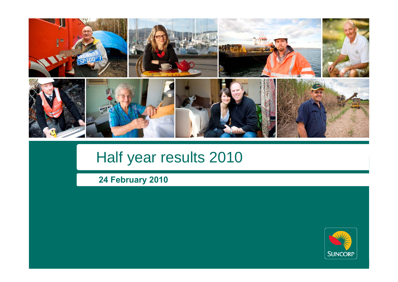

# Half year results 2010

**24 February 2010**

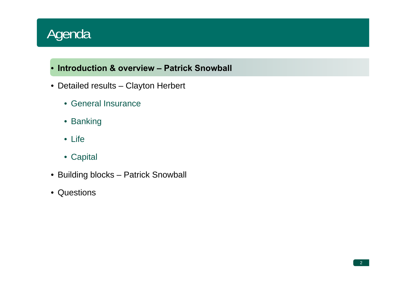# Agenda

### • **Introduction & overview – Patrick Snowball**

- Detailed results Clayton Herbert
	- General Insurance
	- Banking
	- Life
	- Capital
- Building blocks Patrick Snowball
- Questions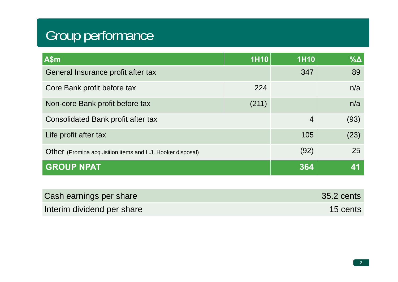# Group performance

| A\$m                                                              | <b>1H10</b> | <b>1H10</b>    | $\% \Delta$ |
|-------------------------------------------------------------------|-------------|----------------|-------------|
| General Insurance profit after tax                                |             | 347            | 89          |
| Core Bank profit before tax                                       | 224         |                | n/a         |
| Non-core Bank profit before tax                                   | (211)       |                | n/a         |
| Consolidated Bank profit after tax                                |             | $\overline{4}$ | (93)        |
| Life profit after tax                                             |             | 105            | (23)        |
| <b>Other</b> (Promina acquisition items and L.J. Hooker disposal) |             | (92)           | 25          |
| <b>GROUP NPAT</b>                                                 |             | 364            | 41          |

| Cash earnings per share    | 35.2 cents |
|----------------------------|------------|
| Interim dividend per share | 15 cents   |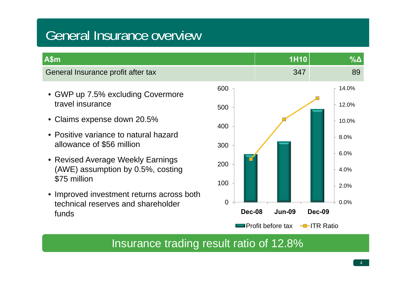### General Insurance overview

| A\$m                                                                                     |                          | <b>1H10</b>               | $\% \Delta$           |
|------------------------------------------------------------------------------------------|--------------------------|---------------------------|-----------------------|
| General Insurance profit after tax                                                       |                          | 347                       | 89                    |
| • GWP up 7.5% excluding Covermore<br>travel insurance                                    | 600<br>500               |                           | 14.0%<br>12.0%        |
| • Claims expense down 20.5%                                                              | 400                      |                           | 10.0%                 |
| • Positive variance to natural hazard<br>allowance of \$56 million                       | 300                      |                           | 8.0%                  |
| • Revised Average Weekly Earnings<br>(AWE) assumption by 0.5%, costing<br>\$75 million   | 200                      |                           | 6.0%<br>4.0%          |
|                                                                                          | 100                      |                           | 2.0%                  |
| • Improved investment returns across both<br>technical reserves and shareholder<br>funds | $\overline{0}$<br>Dec-08 | <b>Jun-09</b>             | 0.0%<br><b>Dec-09</b> |
|                                                                                          |                          | <b>IProfit before tax</b> | <b>-D-ITR Ratio</b>   |

### Insurance trading result ratio of 12.8%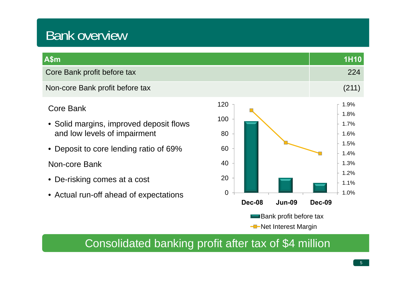### Bank overview

| A\$m                            | <b>1H10</b> |
|---------------------------------|-------------|
| Core Bank profit before tax     | 224         |
| Non-core Bank profit before tax | (211)       |
| $\sim$                          | 1.9%        |

Core Bank

- Solid margins, improved deposit flows and low levels of impairment
- Deposit to core lending ratio of 69%

Non-core Bank

- De-risking comes at a cost
- 



-**-**Net Interest Margin

Consolidated banking profit after tax of \$4 million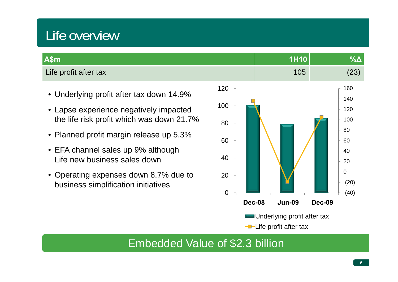### Life overview

| Life profit after tax                                                                                                                                                                                                                                                                                                                                                                                     | 105                                                  | (23)                                                                                                |
|-----------------------------------------------------------------------------------------------------------------------------------------------------------------------------------------------------------------------------------------------------------------------------------------------------------------------------------------------------------------------------------------------------------|------------------------------------------------------|-----------------------------------------------------------------------------------------------------|
|                                                                                                                                                                                                                                                                                                                                                                                                           |                                                      |                                                                                                     |
| 120<br>• Underlying profit after tax down 14.9%<br>100<br>• Lapse experience negatively impacted<br>the life risk profit which was down 21.7%<br>80<br>• Planned profit margin release up 5.3%<br>60<br>• EFA channel sales up 9% although<br>40<br>Life new business sales down<br>• Operating expenses down 8.7% due to<br>20<br>business simplification initiatives<br>$\overline{0}$<br><b>Dec-08</b> | <b>Jun-09</b><br><b>■Underlying profit after tax</b> | 160<br>140<br>120<br>100<br>80<br>60<br>40<br>20<br>$\overline{0}$<br>(20)<br>(40)<br><b>Dec-09</b> |

Embedded Value of \$2.3 billion

**-D-Life profit after tax**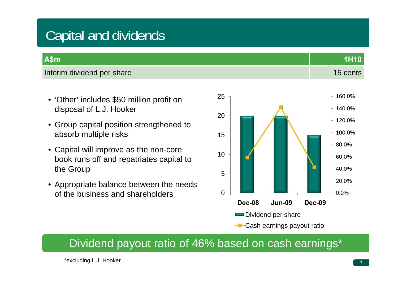### Capital and dividends

| A\$m                       | <b>MH10</b> |
|----------------------------|-------------|
| Interim dividend per share | 15 cents    |

- 'Other' includes \$50 million profit on disposal of L.J. Hooker
- Group capital position strengthened to absorb multiple risks
- • Capital will improve as the non-core book runs off and repatriates capital to the Group
- $\bullet$  Appropriate balance between the needs of the business and shareholders



### Dividend payout ratio of 46% based on cash earnings\*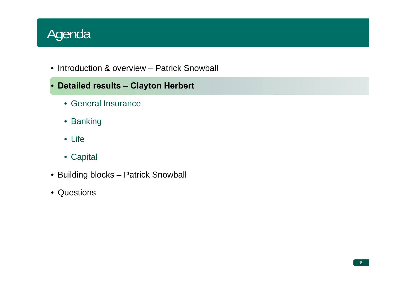# Agenda

- Introduction & overview Patrick Snowball
- • **Detailed results – Clayton Herbert**
	- General Insurance
	- Banking
	- Life
	- Capital
- Building blocks Patrick Snowball
- Questions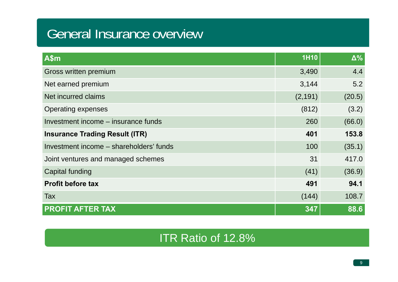### General Insurance overview

| A\$m                                    | <b>1H10</b> | $\Delta\%$ |
|-----------------------------------------|-------------|------------|
| Gross written premium                   | 3,490       | 4.4        |
| Net earned premium                      | 3,144       | 5.2        |
| Net incurred claims                     | (2, 191)    | (20.5)     |
| <b>Operating expenses</b>               | (812)       | (3.2)      |
| Investment income – insurance funds     | 260         | (66.0)     |
| <b>Insurance Trading Result (ITR)</b>   | 401         | 153.8      |
| Investment income - shareholders' funds | 100         | (35.1)     |
| Joint ventures and managed schemes      | 31          | 417.0      |
| Capital funding                         | (41)        | (36.9)     |
| <b>Profit before tax</b>                | 491         | 94.1       |
| Tax                                     | (144)       | 108.7      |
| <b>PROFIT AFTER TAX</b>                 | 347         | 88.6       |

### ITR Ratio of 12.8%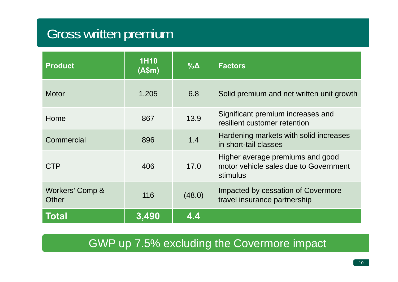## Gross written premium

| <b>Product</b>           | <b>1H10</b><br>(A\$m) | $\% \Delta$ | <b>Factors</b>                                                                        |
|--------------------------|-----------------------|-------------|---------------------------------------------------------------------------------------|
| <b>Motor</b>             | 1,205                 | 6.8         | Solid premium and net written unit growth                                             |
| Home                     | 867                   | 13.9        | Significant premium increases and<br>resilient customer retention                     |
| Commercial               | 896                   | 1.4         | Hardening markets with solid increases<br>in short-tail classes                       |
| <b>CTP</b>               | 406                   | 17.0        | Higher average premiums and good<br>motor vehicle sales due to Government<br>stimulus |
| Workers' Comp &<br>Other | 116                   | (48.0)      | Impacted by cessation of Covermore<br>travel insurance partnership                    |
| <b>Total</b>             | 3,490                 | 4.4         |                                                                                       |

### GWP up 7.5% excluding the Covermore impact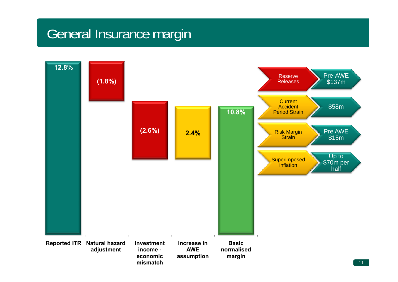### General Insurance margin

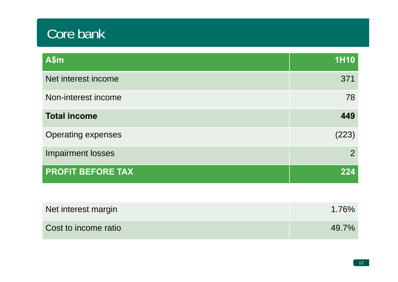### Core bank

| A\$m                      | <b>1H10</b>    |
|---------------------------|----------------|
| Net interest income       | 371            |
| Non-interest income       | 78             |
| <b>Total income</b>       | 449            |
| <b>Operating expenses</b> | (223)          |
| <b>Impairment losses</b>  | $\overline{2}$ |
| <b>PROFIT BEFORE TAX</b>  | 224            |

| Net interest margin  | 1.76% |
|----------------------|-------|
| Cost to income ratio | 49.7% |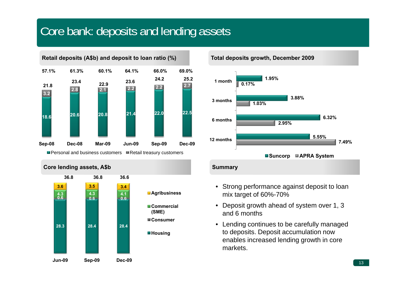### Core bank: deposits and lending assets



#### **Core lending assets, A\$b Summary**







- Strong performance against deposit to loan mix target of 60%-70%
- • Deposit growth ahead of system over 1, 3 and 6 months
- Lending continues to be carefully managed to deposits. Deposit accumulation now enables increased lending growth in core markets.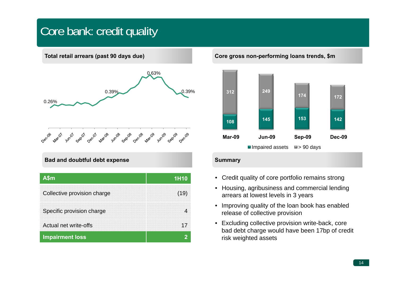### Core bank: credit quality



**Bad and doubtful debt expense Summary** 

| A\$m                        | 1H10 |
|-----------------------------|------|
| Collective provision charge | (19) |
| Specific provision charge   |      |
| Actual net write-offs       |      |
| <b>Impairment loss</b>      |      |

#### **Total retail arrears (past 90 days due) Core gross non-performing loans trends, \$m**



- •Credit quality of core portfolio remains strong
- Housing, agribusiness and commercial lending arrears at lowest levels in 3 years
- $\bullet$  Improving quality of the loan book has enabled release of collective provision
- Excluding collective provision write-back, core bad debt charge would have been 17bp of credit risk weighted assets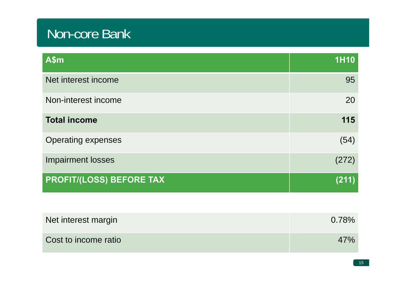### Non-core Bank

| A\$m                            | <b>1H10</b> |
|---------------------------------|-------------|
| Net interest income             | 95          |
| Non-interest income             | 20          |
| <b>Total income</b>             | 115         |
| <b>Operating expenses</b>       | (54)        |
| <b>Impairment losses</b>        | (272)       |
| <b>PROFIT/(LOSS) BEFORE TAX</b> | (211)       |

| Net interest margin  | 0.78% |
|----------------------|-------|
| Cost to income ratio | 47%   |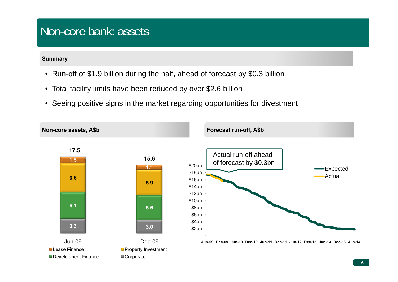### Non-core bank: assets

#### **Summary**

- Run-off of \$1.9 billion during the half, ahead of forecast by \$0.3 billion
- $\bullet$ Total facility limits have been reduced by over \$2.6 billion
- Seeing positive signs in the market regarding opportunities for divestment

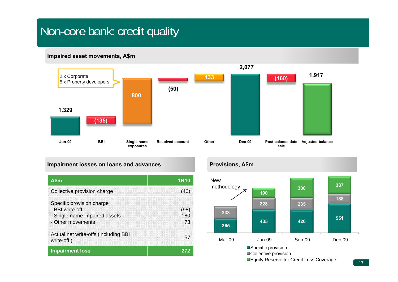### Non-core bank: credit quality

#### **Impaired asset movements, A\$m**



#### **Impairment losses on loans and advances Provisions, A\$m**

| A\$m                                                                                               | 1H10              |
|----------------------------------------------------------------------------------------------------|-------------------|
| Collective provision charge                                                                        | (40)              |
| Specific provision charge<br>- BBI write-off<br>- Single name impaired assets<br>- Other movements | (98)<br>180<br>73 |
| Actual net write-offs (including BBI<br>write-off)                                                 | 157               |
| <b>Impairment loss</b>                                                                             | 272               |



■ Equity Reserve for Credit Loss Coverage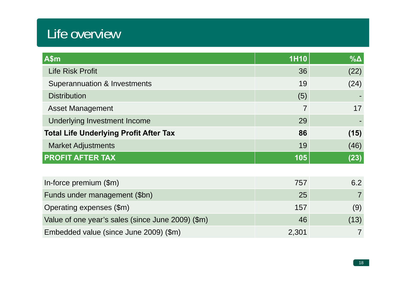### Life overview

| A\$m                                          | <b>1H10</b> | $\% \Delta$ |
|-----------------------------------------------|-------------|-------------|
| <b>Life Risk Profit</b>                       | 36          | (22)        |
| Superannuation & Investments                  | 19          | (24)        |
| <b>Distribution</b>                           | (5)         |             |
| <b>Asset Management</b>                       | 7           | 17          |
| <b>Underlying Investment Income</b>           | 29          |             |
| <b>Total Life Underlying Profit After Tax</b> | 86          | (15)        |
| <b>Market Adjustments</b>                     | 19          | (46)        |
| <b>PROFIT AFTER TAX</b>                       | 105         | (23)        |

| In-force premium (\$m)                            | 757   | 6.2  |
|---------------------------------------------------|-------|------|
| Funds under management (\$bn)                     | 25    |      |
| Operating expenses (\$m)                          | 157   | (9)  |
| Value of one year's sales (since June 2009) (\$m) | 46    | (13) |
| Embedded value (since June 2009) (\$m)            | 2,301 |      |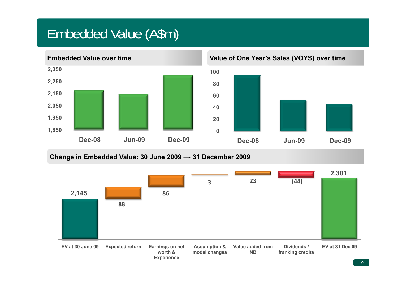### Embedded Value (A\$m)

**1,850 1,950 2,050 2,150 2,250 2,350 Dec-08 Jun-09 Dec-09020406080100Dec-08 Jun-09 Dec-09Embedded Value over timeValue of One Year's Sales (VOYS) over time**

### **Change in Embedded Value: 30 June 2009 → 31 December 2009**

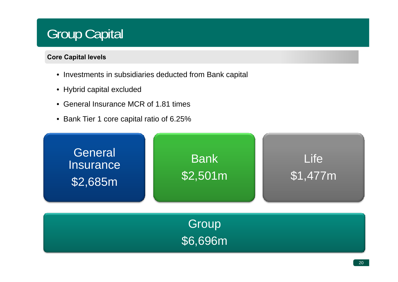## Group Capital

### **Core Capital levels**

- Investments in subsidiaries deducted from Bank capital
- Hybrid capital excluded
- $\bullet$ General Insurance MCR of 1.81 times
- Bank Tier 1 core capital ratio of 6.25%

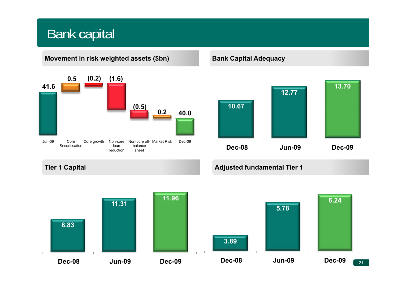### Bank capital

### **Movement in risk weighted assets (\$bn)**



#### **Bank Capital Adequacy**



### **Tier 1 Capital**

### **Adjusted fundamental Tier 1**

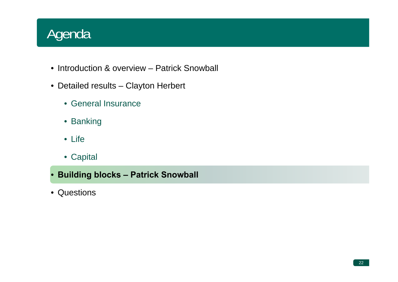# Agenda

- Introduction & overview Patrick Snowball
- Detailed results Clayton Herbert
	- General Insurance
	- Banking
	- Life
	- Capital
- •**Building blocks – Patrick Snowball**
- Questions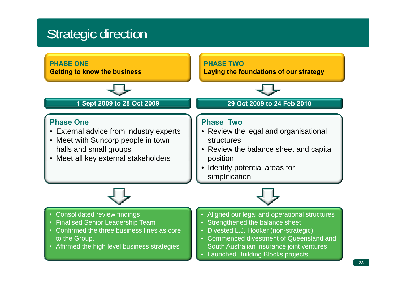### Strategic direction

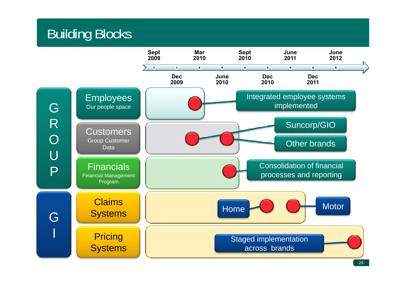# Building Blocks

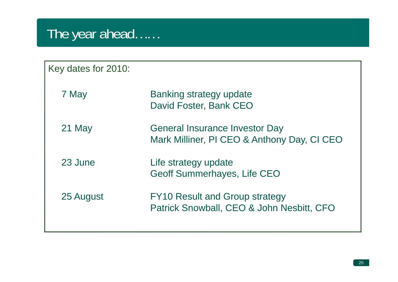### The year ahead……

# Key dates for 2010: 7 May **Banking strategy update** David Foster, Bank CEO 21 May General Insurance Investor Day Mark Milliner, PI CEO & Anthony Day, CI CEO 23 June Life strategy update Geoff Summerhayes, Life CEO 25 August FY10 Result and Group strategy Patrick Snowball, CEO & John Nesbitt, CFO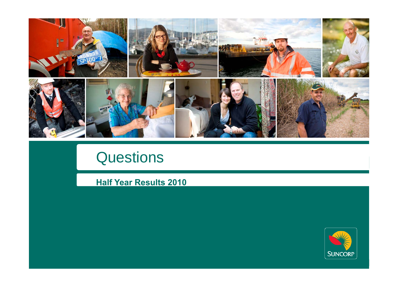

# **Questions**

**Half Year Results 2010**